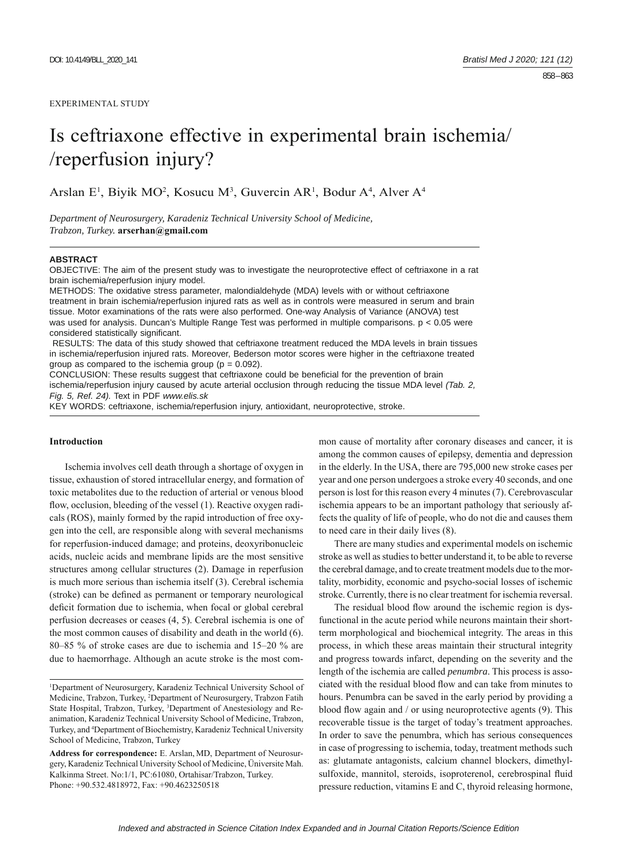## EXPERIMENTAL STUDY

# Is ceftriaxone effective in experimental brain ischemia/ /reperfusion injury?

Arslan E<sup>1</sup>, Biyik MO<sup>2</sup>, Kosucu M<sup>3</sup>, Guvercin AR<sup>1</sup>, Bodur A<sup>4</sup>, Alver A<sup>4</sup>

*Department of Neurosurgery, Karadeniz Technical University School of Medicine, Trabzon, Turkey.* **arserhan@gmail.com**

## **ABSTRACT**

OBJECTIVE: The aim of the present study was to investigate the neuroprotective effect of ceftriaxone in a rat brain ischemia/reperfusion injury model.

METHODS: The oxidative stress parameter, malondialdehyde (MDA) levels with or without ceftriaxone treatment in brain ischemia/reperfusion injured rats as well as in controls were measured in serum and brain tissue. Motor examinations of the rats were also performed. One-way Analysis of Variance (ANOVA) test was used for analysis. Duncan's Multiple Range Test was performed in multiple comparisons. p < 0.05 were considered statistically significant.

 RESULTS: The data of this study showed that ceftriaxone treatment reduced the MDA levels in brain tissues in ischemia/reperfusion injured rats. Moreover, Bederson motor scores were higher in the ceftriaxone treated group as compared to the ischemia group ( $p = 0.092$ ).

CONCLUSION: These results suggest that ceftriaxone could be beneficial for the prevention of brain ischemia/reperfusion injury caused by acute arterial occlusion through reducing the tissue MDA level *(Tab. 2, Fig. 5, Ref. 24).* Text in PDF *www.elis.sk*

KEY WORDS: ceftriaxone, ischemia/reperfusion injury, antioxidant, neuroprotective, stroke.

# **Introduction**

Ischemia involves cell death through a shortage of oxygen in tissue, exhaustion of stored intracellular energy, and formation of toxic metabolites due to the reduction of arterial or venous blood flow, occlusion, bleeding of the vessel (1). Reactive oxygen radicals (ROS), mainly formed by the rapid introduction of free oxygen into the cell, are responsible along with several mechanisms for reperfusion-induced damage; and proteins, deoxyribonucleic acids, nucleic acids and membrane lipids are the most sensitive structures among cellular structures (2). Damage in reperfusion is much more serious than ischemia itself (3). Cerebral ischemia (stroke) can be defined as permanent or temporary neurological deficit formation due to ischemia, when focal or global cerebral perfusion decreases or ceases (4, 5). Cerebral ischemia is one of the most common causes of disability and death in the world (6). 80‒85 % of stroke cases are due to ischemia and 15‒20 % are due to haemorrhage. Although an acute stroke is the most com-

1 Department of Neurosurgery, Karadeniz Technical University School of Medicine, Trabzon, Turkey, <sup>2</sup>Department of Neurosurgery, Trabzon Fatih State Hospital, Trabzon, Turkey, <sup>3</sup>Department of Anestesiology and Reanimation, Karadeniz Technical University School of Medicine, Trabzon, Turkey, and 4 Department of Biochemistry, Karadeniz Technical University School of Medicine, Trabzon, Turkey

**Address for correspondence:** E. Arslan, MD, Department of Neurosurgery, Karadeniz Technical University School of Medicine, Üniversite Mah. Kalkinma Street. No:1/1, PC:61080, Ortahisar/Trabzon, Turkey. Phone: +90.532.4818972, Fax: +90.4623250518

mon cause of mortality after coronary diseases and cancer, it is among the common causes of epilepsy, dementia and depression in the elderly. In the USA, there are 795,000 new stroke cases per year and one person undergoes a stroke every 40 seconds, and one person is lost for this reason every 4 minutes (7). Cerebrovascular ischemia appears to be an important pathology that seriously affects the quality of life of people, who do not die and causes them to need care in their daily lives (8).

There are many studies and experimental models on ischemic stroke as well as studies to better understand it, to be able to reverse the cerebral damage, and to create treatment models due to the mortality, morbidity, economic and psycho-social losses of ischemic stroke. Currently, there is no clear treatment for ischemia reversal.

The residual blood flow around the ischemic region is dysfunctional in the acute period while neurons maintain their shortterm morphological and biochemical integrity. The areas in this process, in which these areas maintain their structural integrity and progress towards infarct, depending on the severity and the length of the ischemia are called *penumbra*. This process is associated with the residual blood flow and can take from minutes to hours. Penumbra can be saved in the early period by providing a blood flow again and  $/$  or using neuroprotective agents  $(9)$ . This recoverable tissue is the target of today's treatment approaches. In order to save the penumbra, which has serious consequences in case of progressing to ischemia, today, treatment methods such as: glutamate antagonists, calcium channel blockers, dimethylsulfoxide, mannitol, steroids, isoproterenol, cerebrospinal fluid pressure reduction, vitamins E and C, thyroid releasing hormone,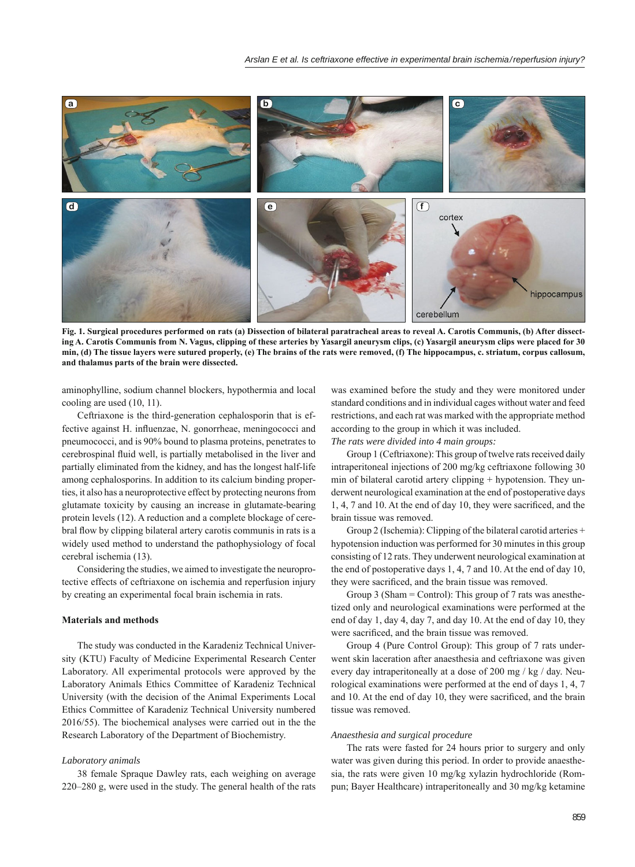

**Fig. 1. Surgical procedures performed on rats (a) Dissection of bilateral paratracheal areas to reveal A. Carotis Communis, (b) After dissecting A. Carotis Communis from N. Vagus, clipping of these arteries by Yasargil aneurysm clips, (c) Yasargil aneurysm clips were placed for 30 min, (d) The tissue layers were sutured properly, (e) The brains of the rats were removed, (f) The hippocampus, c. striatum, corpus callosum, and thalamus parts of the brain were dissected.**

aminophylline, sodium channel blockers, hypothermia and local cooling are used (10, 11).

Ceftriaxone is the third-generation cephalosporin that is effective against H. influenzae, N. gonorrheae, meningococci and pneumococci, and is 90% bound to plasma proteins, penetrates to cerebrospinal fluid well, is partially metabolised in the liver and partially eliminated from the kidney, and has the longest half-life among cephalosporins. In addition to its calcium binding properties, it also has a neuroprotective effect by protecting neurons from glutamate toxicity by causing an increase in glutamate-bearing protein levels (12). A reduction and a complete blockage of cerebral flow by clipping bilateral artery carotis communis in rats is a widely used method to understand the pathophysiology of focal cerebral ischemia (13).

Considering the studies, we aimed to investigate the neuroprotective effects of ceftriaxone on ischemia and reperfusion injury by creating an experimental focal brain ischemia in rats.

# **Materials and methods**

The study was conducted in the Karadeniz Technical University (KTU) Faculty of Medicine Experimental Research Center Laboratory. All experimental protocols were approved by the Laboratory Animals Ethics Committee of Karadeniz Technical University (with the decision of the Animal Experiments Local Ethics Committee of Karadeniz Technical University numbered 2016/55). The biochemical analyses were carried out in the the Research Laboratory of the Department of Biochemistry.

# *Laboratory animals*

38 female Spraque Dawley rats, each weighing on average 220‒280 g, were used in the study. The general health of the rats

was examined before the study and they were monitored under standard conditions and in individual cages without water and feed restrictions, and each rat was marked with the appropriate method according to the group in which it was included.

*The rats were divided into 4 main groups:*

Group 1 (Ceftriaxone): This group of twelve rats received daily intraperitoneal injections of 200 mg/kg ceftriaxone following 30 min of bilateral carotid artery clipping + hypotension. They underwent neurological examination at the end of postoperative days 1, 4, 7 and 10. At the end of day 10, they were sacrificed, and the brain tissue was removed.

Group 2 (Ischemia): Clipping of the bilateral carotid arteries + hypotension induction was performed for 30 minutes in this group consisting of 12 rats. They underwent neurological examination at the end of postoperative days 1, 4, 7 and 10. At the end of day 10, they were sacrificed, and the brain tissue was removed.

Group 3 (Sham = Control): This group of 7 rats was anesthetized only and neurological examinations were performed at the end of day 1, day 4, day 7, and day 10. At the end of day 10, they were sacrificed, and the brain tissue was removed.

Group 4 (Pure Control Group): This group of 7 rats underwent skin laceration after anaesthesia and ceftriaxone was given every day intraperitoneally at a dose of 200 mg / kg / day. Neurological examinations were performed at the end of days 1, 4, 7 and 10. At the end of day 10, they were sacrificed, and the brain tissue was removed.

# *Anaesthesia and surgical procedure*

The rats were fasted for 24 hours prior to surgery and only water was given during this period. In order to provide anaesthesia, the rats were given 10 mg/kg xylazin hydrochloride (Rompun; Bayer Healthcare) intraperitoneally and 30 mg/kg ketamine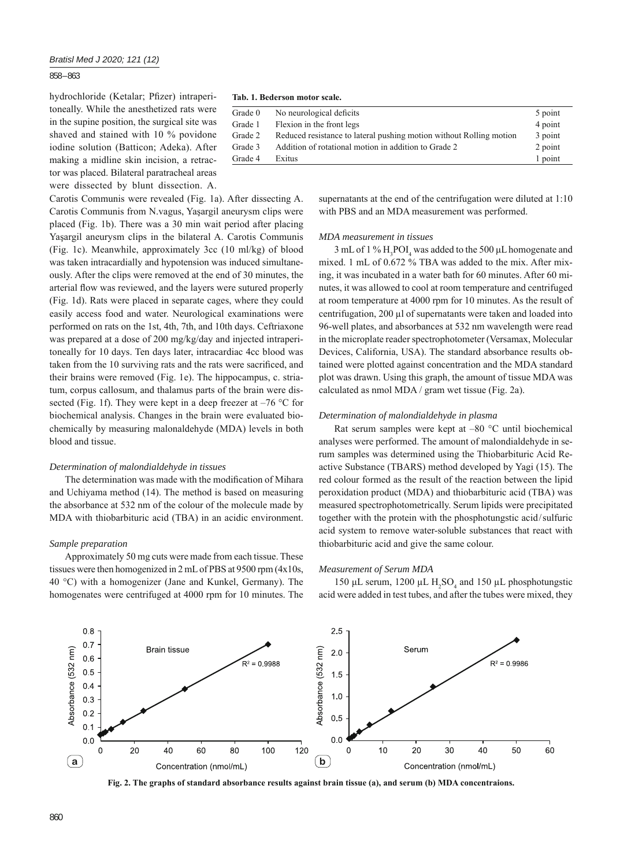# 858 – 863

hydrochloride (Ketalar; Pfizer) intraperitoneally. While the anesthetized rats were in the supine position, the surgical site was shaved and stained with 10 % povidone iodine solution (Batticon; Adeka). After making a midline skin incision, a retractor was placed. Bilateral paratracheal areas were dissected by blunt dissection. A.

Carotis Communis were revealed (Fig. 1a). After dissecting A. Carotis Communis from N.vagus, Yaşargil aneurysm clips were placed (Fig. 1b). There was a 30 min wait period after placing Yaşargil aneurysm clips in the bilateral A. Carotis Communis (Fig. 1c). Meanwhile, approximately 3cc (10 ml/kg) of blood was taken intracardially and hypotension was induced simultaneously. After the clips were removed at the end of 30 minutes, the arterial flow was reviewed, and the layers were sutured properly (Fig. 1d). Rats were placed in separate cages, where they could easily access food and water. Neurological examinations were performed on rats on the 1st, 4th, 7th, and 10th days. Ceftriaxone was prepared at a dose of 200 mg/kg/day and injected intraperitoneally for 10 days. Ten days later, intracardiac 4cc blood was taken from the 10 surviving rats and the rats were sacrificed, and their brains were removed (Fig. 1e). The hippocampus, c. striatum, corpus callosum, and thalamus parts of the brain were dissected (Fig. 1f). They were kept in a deep freezer at  $-76$  °C for biochemical analysis. Changes in the brain were evaluated biochemically by measuring malonaldehyde (MDA) levels in both blood and tissue.

## *Determination of malondialdehyde in tissues*

The determination was made with the modification of Mihara and Uchiyama method (14). The method is based on measuring the absorbance at 532 nm of the colour of the molecule made by MDA with thiobarbituric acid (TBA) in an acidic environment.

## *Sample preparation*

Approximately 50 mg cuts were made from each tissue. These tissues were then homogenized in 2 mL of PBS at 9500 rpm (4x10s, 40 °C) with a homogenizer (Jane and Kunkel, Germany). The homogenates were centrifuged at 4000 rpm for 10 minutes. The

## **Tab. 1. Bederson motor scale.**

| Grade 0 | No neurological deficits                                            | 5 point |
|---------|---------------------------------------------------------------------|---------|
| Grade 1 | Flexion in the front legs.                                          | 4 point |
| Grade 2 | Reduced resistance to lateral pushing motion without Rolling motion | 3 point |
| Grade 3 | Addition of rotational motion in addition to Grade 2                | 2 point |
| Grade 4 | Exitus                                                              | 1 point |
|         |                                                                     |         |

supernatants at the end of the centrifugation were diluted at 1:10 with PBS and an MDA measurement was performed.

#### *MDA measurement in tissues*

3 mL of 1 %  $H_3POI_4$  was added to the 500 µL homogenate and mixed. 1 mL of 0.672 % TBA was added to the mix. After mixing, it was incubated in a water bath for 60 minutes. After 60 minutes, it was allowed to cool at room temperature and centrifuged at room temperature at 4000 rpm for 10 minutes. As the result of centrifugation, 200 μl of supernatants were taken and loaded into 96-well plates, and absorbances at 532 nm wavelength were read in the microplate reader spectrophotometer (Versamax, Molecular Devices, California, USA). The standard absorbance results obtained were plotted against concentration and the MDA standard plot was drawn. Using this graph, the amount of tissue MDA was calculated as nmol MDA / gram wet tissue (Fig. 2a).

## *Determination of malondialdehyde in plasma*

Rat serum samples were kept at  $-80$  °C until biochemical analyses were performed. The amount of malondialdehyde in serum samples was determined using the Thiobarbituric Acid Reactive Substance (TBARS) method developed by Yagi (15). The red colour formed as the result of the reaction between the lipid peroxidation product (MDA) and thiobarbituric acid (TBA) was measured spectrophotometrically. Serum lipids were precipitated together with the protein with the phosphotungstic acid/sulfuric acid system to remove water-soluble substances that react with thiobarbituric acid and give the same colour.

## *Measurement of Serum MDA*

150 μL serum, 1200 μL  $H_2SO_4$  and 150 μL phosphotungstic acid were added in test tubes, and after the tubes were mixed, they



**Fig. 2. The graphs of standard absorbance results against brain tissue (a), and serum (b) MDA concentraions.**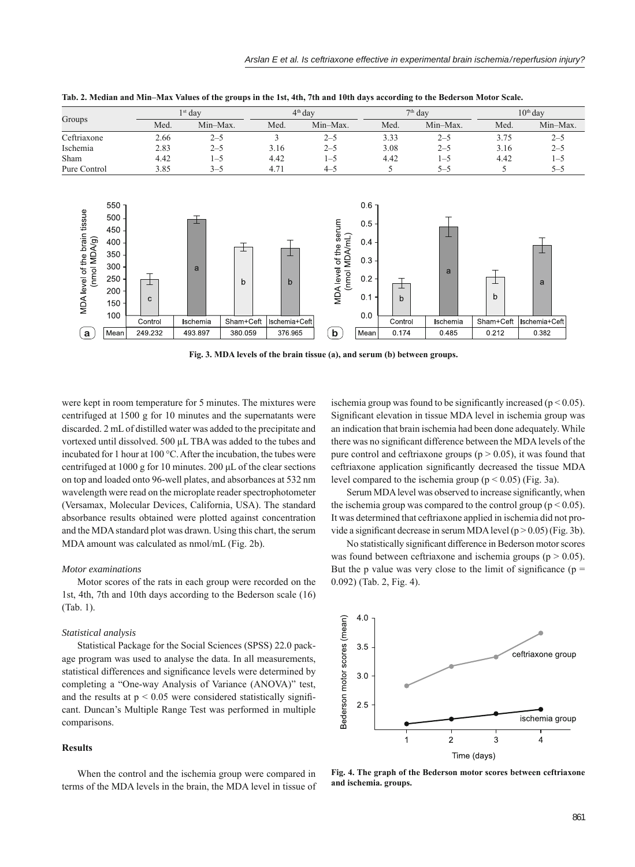|                                                                                                                                               | $1st$ day               |                          |                           | $4th$ day                     |                                                        |                                                                                          | $7th$ day                       |                        | $10th$ day                   |                             |
|-----------------------------------------------------------------------------------------------------------------------------------------------|-------------------------|--------------------------|---------------------------|-------------------------------|--------------------------------------------------------|------------------------------------------------------------------------------------------|---------------------------------|------------------------|------------------------------|-----------------------------|
| Groups                                                                                                                                        | Med.                    | Min-Max.                 |                           | Med.                          | Min-Max.                                               |                                                                                          | Med.                            | Min-Max.               | Med.                         | Min-Max.                    |
| Ceftriaxone                                                                                                                                   | 2.66                    | $2 - 5$                  |                           | 3                             | $2 - 5$                                                |                                                                                          | 3.33                            | $2 - 5$                | 3.75                         | $2 - 5$                     |
| Ischemia                                                                                                                                      | 2.83                    | $2 - 5$                  |                           | 3.16                          | $2 - 5$                                                |                                                                                          | 3.08                            | $2 - 5$                | 3.16                         | $2 - 5$                     |
| Sham                                                                                                                                          | 4.42                    | $1 - 5$                  |                           | 4.42                          | $1 - 5$                                                |                                                                                          | 4.42                            | $1 - 5$                | 4.42                         | $1 - 5$                     |
| Pure Control                                                                                                                                  | 3.85                    | $3 - 5$                  |                           | 4.71                          | $4 - 5$                                                |                                                                                          | 5                               | $5 - 5$                | 5                            | $5 - 5$                     |
| 550 <sub>7</sub><br>MDA level of the brain tissue<br>(nmol MDA/g)<br>500<br>450<br>400<br>350<br>300<br>250<br>200<br>150<br>100<br>Mean<br>a | C<br>Control<br>249.232 | a<br>Ischemia<br>493.897 | b<br>Sham+Ceft<br>380 059 | b<br>Ischemia+Ceft<br>376.965 | MDA level of the serum<br>(nmol MDA/mL)<br>$\mathbf b$ | $0.6 -$<br>$0.5 -$<br>$0.4 -$<br>$0.3 -$<br>$0.2 -$<br>0.1<br>0.0<br>, Mean <sup>∣</sup> | $\mathbf b$<br>Control<br>0.174 | a<br>Ischemia<br>0.485 | ᅩ<br>b<br>Sham+Ceft<br>0.212 | a<br>Ischemia+Ceft<br>0.382 |

**Tab. 2. Median and Min‒Max Values of the groups in the 1st, 4th, 7th and 10th days according to the Bederson Motor Scale.**

**Fig. 3. MDA levels of the brain tissue (a), and serum (b) between groups.**

were kept in room temperature for 5 minutes. The mixtures were centrifuged at 1500 g for 10 minutes and the supernatants were discarded. 2 mL of distilled water was added to the precipitate and vortexed until dissolved. 500 μL TBA was added to the tubes and incubated for 1 hour at 100 °C. After the incubation, the tubes were centrifuged at 1000 g for 10 minutes. 200 μL of the clear sections on top and loaded onto 96-well plates, and absorbances at 532 nm wavelength were read on the microplate reader spectrophotometer (Versamax, Molecular Devices, California, USA). The standard absorbance results obtained were plotted against concentration and the MDA standard plot was drawn. Using this chart, the serum MDA amount was calculated as nmol/mL (Fig. 2b).

## *Motor examinations*

Motor scores of the rats in each group were recorded on the 1st, 4th, 7th and 10th days according to the Bederson scale (16) (Tab. 1).

# *Statistical analysis*

Statistical Package for the Social Sciences (SPSS) 22.0 package program was used to analyse the data. In all measurements, statistical differences and significance levels were determined by completing a "One-way Analysis of Variance (ANOVA)" test, and the results at  $p \le 0.05$  were considered statistically significant. Duncan's Multiple Range Test was performed in multiple comparisons.

# **Results**

When the control and the ischemia group were compared in terms of the MDA levels in the brain, the MDA level in tissue of ischemia group was found to be significantly increased ( $p < 0.05$ ). Significant elevation in tissue MDA level in ischemia group was an indication that brain ischemia had been done adequately. While there was no significant difference between the MDA levels of the pure control and ceftriaxone groups ( $p > 0.05$ ), it was found that ceftriaxone application significantly decreased the tissue MDA level compared to the ischemia group ( $p < 0.05$ ) (Fig. 3a).

Serum MDA level was observed to increase significantly, when the ischemia group was compared to the control group ( $p < 0.05$ ). It was determined that ceftriaxone applied in ischemia did not provide a significant decrease in serum MDA level  $(p > 0.05)$  (Fig. 3b).

No statistically significant difference in Bederson motor scores was found between ceftriaxone and ischemia groups ( $p > 0.05$ ). But the p value was very close to the limit of significance ( $p =$ 0.092) (Tab. 2, Fig. 4).



**Fig. 4. The graph of the Bederson motor scores between ceftriaxone and ischemia. groups.**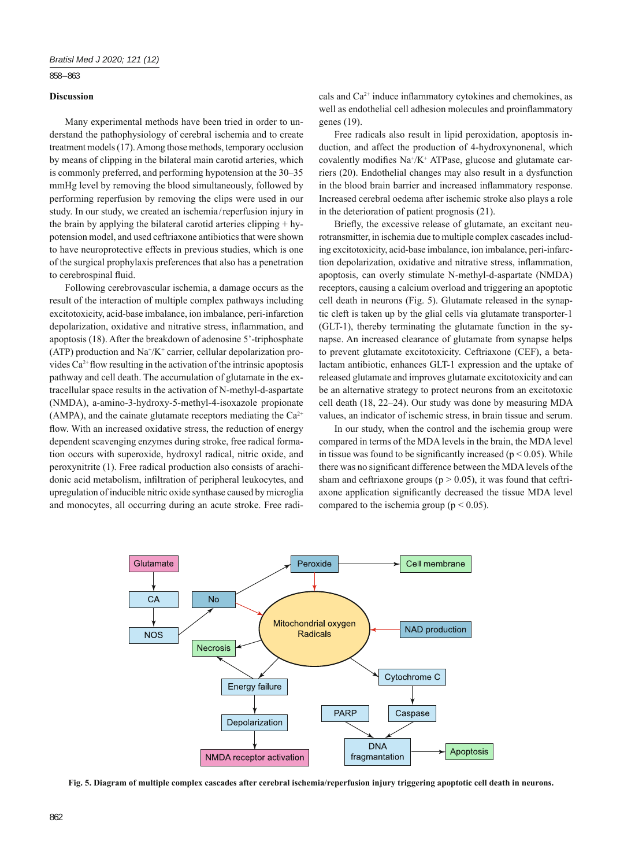# 858 – 863

# **Discussion**

Many experimental methods have been tried in order to understand the pathophysiology of cerebral ischemia and to create treatment models (17). Among those methods, temporary occlusion by means of clipping in the bilateral main carotid arteries, which is commonly preferred, and performing hypotension at the 30–35 mmHg level by removing the blood simultaneously, followed by performing reperfusion by removing the clips were used in our study. In our study, we created an ischemia/reperfusion injury in the brain by applying the bilateral carotid arteries clipping + hypotension model, and used ceftriaxone antibiotics that were shown to have neuroprotective effects in previous studies, which is one of the surgical prophylaxis preferences that also has a penetration to cerebrospinal fluid.

Following cerebrovascular ischemia, a damage occurs as the result of the interaction of multiple complex pathways including excitotoxicity, acid-base imbalance, ion imbalance, peri-infarction depolarization, oxidative and nitrative stress, inflammation, and apoptosis (18). After the breakdown of adenosine 5'-triphosphate  $(ATP)$  production and Na<sup>+</sup>/K<sup>+</sup> carrier, cellular depolarization provides  $Ca^{2+}$  flow resulting in the activation of the intrinsic apoptosis pathway and cell death. The accumulation of glutamate in the extracellular space results in the activation of N-methyl-d-aspartate (NMDA), a-amino-3-hydroxy-5-methyl-4-isoxazole propionate (AMPA), and the cainate glutamate receptors mediating the  $Ca^{2+}$ flow. With an increased oxidative stress, the reduction of energy dependent scavenging enzymes during stroke, free radical formation occurs with superoxide, hydroxyl radical, nitric oxide, and peroxynitrite (1). Free radical production also consists of arachidonic acid metabolism, infiltration of peripheral leukocytes, and upregulation of inducible nitric oxide synthase caused by microglia and monocytes, all occurring during an acute stroke. Free radicals and  $Ca^{2+}$  induce inflammatory cytokines and chemokines, as well as endothelial cell adhesion molecules and proinflammatory genes (19).

Free radicals also result in lipid peroxidation, apoptosis induction, and affect the production of 4-hydroxynonenal, which covalently modifies  $\text{Na}^{\text{*}}/\text{K}^{\text{+}}$  ATPase, glucose and glutamate carriers (20). Endothelial changes may also result in a dysfunction in the blood brain barrier and increased inflammatory response. Increased cerebral oedema after ischemic stroke also plays a role in the deterioration of patient prognosis (21).

Briefly, the excessive release of glutamate, an excitant neurotransmitter, in ischemia due to multiple complex cascades including excitotoxicity, acid-base imbalance, ion imbalance, peri-infarction depolarization, oxidative and nitrative stress, inflammation, apoptosis, can overly stimulate N-methyl-d-aspartate (NMDA) receptors, causing a calcium overload and triggering an apoptotic cell death in neurons (Fig. 5). Glutamate released in the synaptic cleft is taken up by the glial cells via glutamate transporter-1 (GLT-1), thereby terminating the glutamate function in the synapse. An increased clearance of glutamate from synapse helps to prevent glutamate excitotoxicity. Ceftriaxone (CEF), a betalactam antibiotic, enhances GLT-1 expression and the uptake of released glutamate and improves glutamate excitotoxicity and can be an alternative strategy to protect neurons from an excitotoxic cell death (18, 22‒24). Our study was done by measuring MDA values, an indicator of ischemic stress, in brain tissue and serum.

In our study, when the control and the ischemia group were compared in terms of the MDA levels in the brain, the MDA level in tissue was found to be significantly increased ( $p < 0.05$ ). While there was no significant difference between the MDA levels of the sham and ceftriaxone groups ( $p > 0.05$ ), it was found that ceftriaxone application significantly decreased the tissue MDA level compared to the ischemia group ( $p < 0.05$ ).



**Fig. 5. Diagram of multiple complex cascades after cerebral ischemia/reperfusion injury triggering apoptotic cell death in neurons.**